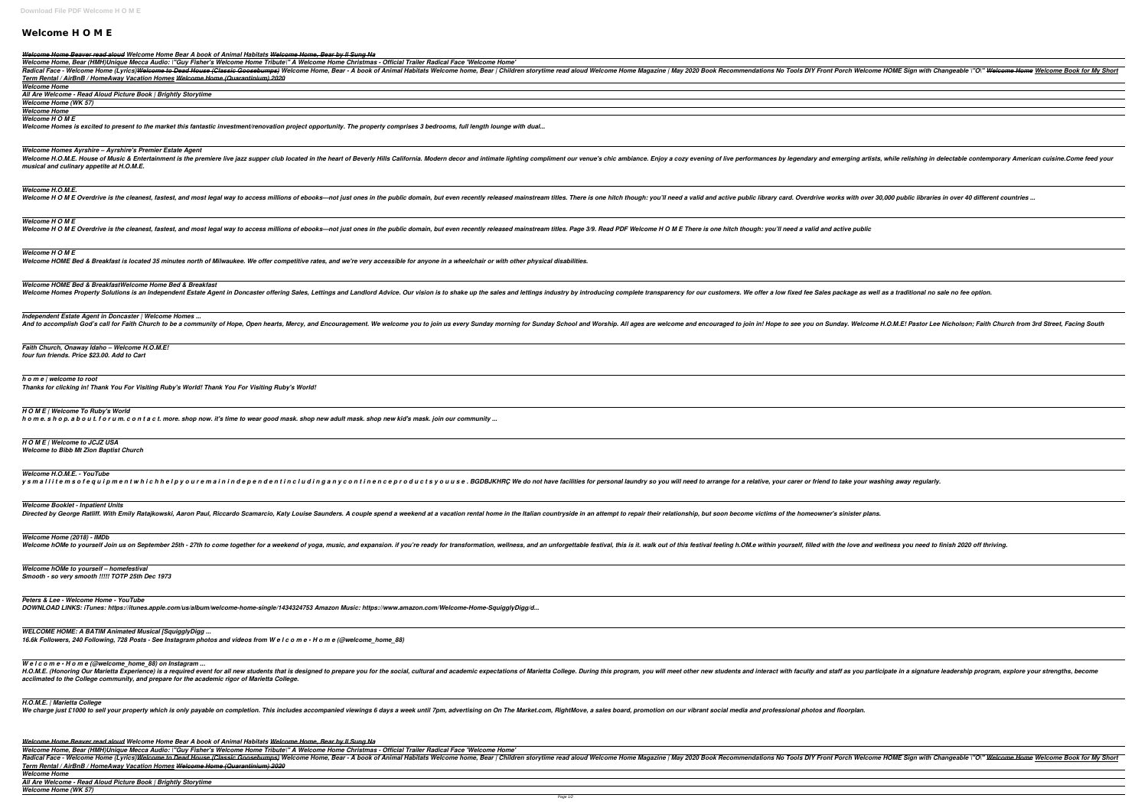# **Welcome H O M E**

## *Welcome Home, Bear (HMH)Unique Mecca Audio: \"Guy Fisher's Welcome Home Tribute\" A Welcome Home Christmas - Official Trailer Radical Face 'Welcome Home'*

*Welcome Home, Bear (HMH)Unique Mecca Audio: \"Guy Fisher's Welcome Home Tribute\" A Welcome Home Christmas - Official Trailer Radical Face 'Welcome Home'* Welcome home, Bear | Children storytime read aloud Welcome Home Magazine | May 2020 Book Recommendations No Tools DIY Front Porch Welcome HOME Sign with Changeable \"O\" <del>Welcome Home</del> Welcome Book for My Short

| Welcome Home Beaver read aloud Welcome Home Bear A book of Animal Habitats Welcome Home, Bear by Il Sung Na                                                                                                                                                                                                                                   |
|-----------------------------------------------------------------------------------------------------------------------------------------------------------------------------------------------------------------------------------------------------------------------------------------------------------------------------------------------|
| Welcome Home, Bear (HMH)Unique Mecca Audio: \"Guy Fisher's Welcome Home Tribute\" A Welcome Home Christmas - Official Trailer Radical Face 'Welcome Home'                                                                                                                                                                                     |
| Radical Face - Welcome Home (Lyrics) <del>Welcome to Dead House (Classic Goosebumps)</del> Welcome Home, Bear - A book of Animal Habitats Welcome home, Bear   Children storytime read aloud Welcome Home Magazine   May 2020 Book Recom<br>Term Rental / AirBnB / HomeAway Vacation Homes Welcome Home (Quarantinium) 2020                   |
| <b>Welcome Home</b>                                                                                                                                                                                                                                                                                                                           |
| All Are Welcome - Read Aloud Picture Book   Brightly Storytime                                                                                                                                                                                                                                                                                |
| <b>Welcome Home (WK 57)</b>                                                                                                                                                                                                                                                                                                                   |
| <b>Welcome Home</b><br><b>Welcome H O M E</b>                                                                                                                                                                                                                                                                                                 |
| Welcome Homes is excited to present to the market this fantastic investment/renovation project opportunity. The property comprises 3 bedrooms, full length lounge with dual                                                                                                                                                                   |
|                                                                                                                                                                                                                                                                                                                                               |
| <b>Welcome Homes Ayrshire - Ayrshire's Premier Estate Agent</b><br>Welcome H.O.M.E. House of Music & Entertainment is the premiere live jazz supper club located in the heart of Beverly Hills California. Modern decor and intimate lighting compliment our venue's chic ambiance. Enjoy a cozy<br>musical and culinary appetite at H.O.M.E. |
|                                                                                                                                                                                                                                                                                                                                               |
| <b>Welcome H.O.M.E.</b>                                                                                                                                                                                                                                                                                                                       |
| Welcome HOME Overdrive is the cleanest, fastest, and most legal way to access millions of ebooks—not just ones in the public domain, but even recently released mainstream titles. There is one hitch though: you'll need a va                                                                                                                |
|                                                                                                                                                                                                                                                                                                                                               |
|                                                                                                                                                                                                                                                                                                                                               |
| <b>Welcome HOME</b><br>Welcome HOME Overdrive is the cleanest, fastest, and most legal way to access millions of ebooks—not just ones in the public domain, but even recently released mainstream titles. Page 3/9. Read PDF Welcome HOME There is on                                                                                         |
|                                                                                                                                                                                                                                                                                                                                               |
|                                                                                                                                                                                                                                                                                                                                               |
| <b>Welcome HOME</b>                                                                                                                                                                                                                                                                                                                           |
| Welcome HOME Bed & Breakfast is located 35 minutes north of Milwaukee. We offer competitive rates, and we're very accessible for anyone in a wheelchair or with other physical disabilities.                                                                                                                                                  |
|                                                                                                                                                                                                                                                                                                                                               |
| Welcome HOME Bed & BreakfastWelcome Home Bed & Breakfast                                                                                                                                                                                                                                                                                      |
| Welcome Homes Property Solutions is an Independent Estate Agent in Doncaster offering Sales, Lettings and Landlord Advice. Our vision is to shake up the sales and lettings industry by introducing complete transparency for                                                                                                                 |
|                                                                                                                                                                                                                                                                                                                                               |
| Independent Estate Agent in Doncaster   Welcome Homes                                                                                                                                                                                                                                                                                         |
| And to accomplish God's call for Faith Church to be a community of Hope, Open hearts, Mercy, and Encouragement. We welcome you to join us every Sunday School and Worship. All ages are welcome and encouraged to join in! Hop                                                                                                                |
|                                                                                                                                                                                                                                                                                                                                               |
|                                                                                                                                                                                                                                                                                                                                               |
| Faith Church, Onaway Idaho - Welcome H.O.M.E!<br>four fun friends. Price \$23.00. Add to Cart                                                                                                                                                                                                                                                 |
|                                                                                                                                                                                                                                                                                                                                               |
|                                                                                                                                                                                                                                                                                                                                               |
| h o m e   welcome to root                                                                                                                                                                                                                                                                                                                     |
| Thanks for clicking in! Thank You For Visiting Ruby's World! Thank You For Visiting Ruby's World!                                                                                                                                                                                                                                             |
|                                                                                                                                                                                                                                                                                                                                               |
| HOME   Welcome To Ruby's World                                                                                                                                                                                                                                                                                                                |
| h o m e. s h o p. a b o u t. f o r u m. c o n t a c t. more. shop now. it's time to wear good mask. shop new adult mask. shop new kid's mask. join our community                                                                                                                                                                              |
|                                                                                                                                                                                                                                                                                                                                               |
|                                                                                                                                                                                                                                                                                                                                               |
|                                                                                                                                                                                                                                                                                                                                               |
| H O M E   Welcome to JCJZ USA<br><b>Welcome to Bibb Mt Zion Baptist Church</b>                                                                                                                                                                                                                                                                |
|                                                                                                                                                                                                                                                                                                                                               |
|                                                                                                                                                                                                                                                                                                                                               |
| <b>Welcome H.O.M.E. - YouTube</b>                                                                                                                                                                                                                                                                                                             |
| y s m a l l i t e m s o f e q u i p m e n t w h i c h h e l p y o u r e m a i n i n d e p e n d e n t i n c l u d i n g a n y c o n t i n e n c e p r o d u c t s y o u u s e . BGDBJKHRÇ We do not have facilities for person                                                                                                                |
|                                                                                                                                                                                                                                                                                                                                               |
| <b>Welcome Booklet - Inpatient Units</b>                                                                                                                                                                                                                                                                                                      |
| Directed by George Ratliff. With Emily Ratajkowski, Aaron Paul, Riccardo Scamarcio, Katy Louise Saunders. A couple spend a weekend at a vacation rental home in the Italian countryside in an attempt to repair their relation                                                                                                                |
|                                                                                                                                                                                                                                                                                                                                               |
| Welcome Home (2018) - IMDb                                                                                                                                                                                                                                                                                                                    |
| Welcome hOMe to yourself Join us on September 25th - 27th to come together for a weekend of yoga, music, and expansion. if you're ready for transformation, wellness, and an unforgettable festival, this is it. walk out of t                                                                                                                |
|                                                                                                                                                                                                                                                                                                                                               |
|                                                                                                                                                                                                                                                                                                                                               |
| Welcome hOMe to yourself - homefestival                                                                                                                                                                                                                                                                                                       |
| Smooth - so very smooth !!!!! TOTP 25th Dec 1973                                                                                                                                                                                                                                                                                              |
|                                                                                                                                                                                                                                                                                                                                               |
| Peters & Lee - Welcome Home - YouTube                                                                                                                                                                                                                                                                                                         |
| DOWNLOAD LINKS: iTunes: https://itunes.apple.com/us/album/welcome-home-single/1434324753 Amazon Music: https://www.amazon.com/Welcome-Home-SquigglyDigg/d                                                                                                                                                                                     |
|                                                                                                                                                                                                                                                                                                                                               |
| <b>WELCOME HOME: A BATIM Animated Musical [SquigglyDigg </b>                                                                                                                                                                                                                                                                                  |
| 16.6k Followers, 240 Following, 728 Posts - See Instagram photos and videos from W e I c o m e · H o m e (@welcome_home_88)                                                                                                                                                                                                                   |
|                                                                                                                                                                                                                                                                                                                                               |
| We $lc$ o m $e ullet$ o m $e$ (@welcome_home_88) on Instagram                                                                                                                                                                                                                                                                                 |
| H.O.M.E. (Honoring Our Marietta Experience) is a required event for all new students that is designed to prepare you for the social, cultural and academic expectations of Marietta College. During this program, you will mee                                                                                                                |
| acclimated to the College community, and prepare for the academic rigor of Marietta College.                                                                                                                                                                                                                                                  |
|                                                                                                                                                                                                                                                                                                                                               |
| H.O.M.E.   Marietta College                                                                                                                                                                                                                                                                                                                   |
| We charge just £1000 to sell your property which is only payable on completion. This includes accompanied viewings 6 days a week until 7pm, advertising on On The Market.com, RightMove, a sales board, promotion on our vibra                                                                                                                |
|                                                                                                                                                                                                                                                                                                                                               |
|                                                                                                                                                                                                                                                                                                                                               |
| Welcome Home Beaver read aloud Welcome Home Bear A book of Animal Habitats Welcome Home, Bear by Il Sung Na                                                                                                                                                                                                                                   |
| Welcome Home, Bear (HMH)Unique Mecca Audio: \"Guy Fisher's Welcome Home Tribute\" A Welcome Home Christmas - Official Trailer Radical Face 'Welcome Home'                                                                                                                                                                                     |

I and academic expectations of Marietta College. During this program, you will meet other new students and interact with faculty and staff as you participate in a signature leadership program, explore your strengths, becom

*Term Rental / AirBnB / HomeAway Vacation Homes Welcome Home (Quarantinium) 2020*

*Welcome Home*

*All Are Welcome - Read Aloud Picture Book | Brightly Storytime Welcome Home (WK 57)*

| come HOME Sign with Changeable \"O\" <del>Welcome Home</del> Welcome Book for My Short |
|----------------------------------------------------------------------------------------|
|                                                                                        |
|                                                                                        |
|                                                                                        |
|                                                                                        |
|                                                                                        |
| rtists, while relishing in delectable contemporary American cuisine.Come feed your     |
|                                                                                        |
|                                                                                        |
| ver 30,000 public libraries in over 40 different countries                             |
|                                                                                        |
| ic                                                                                     |
|                                                                                        |
|                                                                                        |
|                                                                                        |
| well as a traditional no sale no fee option.                                           |
|                                                                                        |
|                                                                                        |
| ome H.O.M.E! Pastor Lee Nicholson; Faith Church from 3rd Street, Facing South          |
|                                                                                        |
|                                                                                        |
|                                                                                        |
|                                                                                        |
|                                                                                        |
|                                                                                        |
|                                                                                        |
|                                                                                        |
|                                                                                        |
|                                                                                        |
| r washing away regularly.                                                              |
|                                                                                        |
| lans.                                                                                  |
|                                                                                        |
| nd wellness you need to finish 2020 off thriving.                                      |
|                                                                                        |
|                                                                                        |
|                                                                                        |
|                                                                                        |
|                                                                                        |
|                                                                                        |
|                                                                                        |
|                                                                                        |